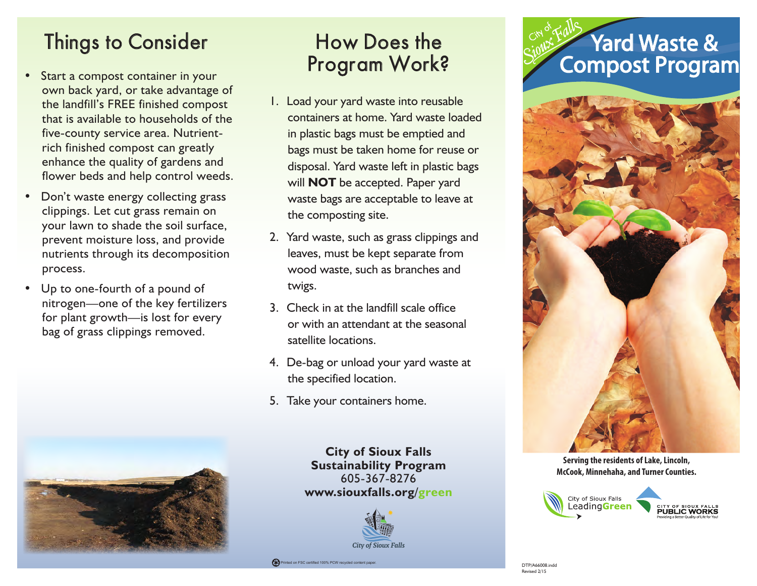# Things to Consider

- Start a compost container in your own back yard, or take advantage of the landfill's FREE finished compost that is available to households of the five-county service area. Nutrientrich finished compost can greatly enhance the quality of gardens and flower beds and help control weeds.
- Don't waste energy collecting grass clippings. Let cut grass remain on your lawn to shade the soil surface, prevent moisture loss, and provide nutrients through its decomposition process.
- Up to one-fourth of a pound of nitrogen—one of the key fertilizers for plant growth—is lost for every bag of grass clippings removed.



# How Does the Program Work?

- 1. Load your yard waste into reusable containers at home. Yard waste loaded in plastic bags must be emptied and bags must be taken home for reuse or disposal. Yard waste left in plastic bags will **NOT** be accepted. Paper yard waste bags are acceptable to leave at the composting site.
- 2. Yard waste, such as grass clippings and leaves, must be kept separate from wood waste, such as branches and twigs.
- 3. Check in at the landfill scale office or with an attendant at the seasonal satellite locations.
- 4. De-bag or unload your yard waste at the specified location.
- 5. Take your containers home.

**City of Sioux Falls Sustainability Program** 605-367-8276 **www.siouxfalls.org/green**





**Serving the residents of Lake, Lincoln, McCook, Minnehaha, and Turner Counties.**